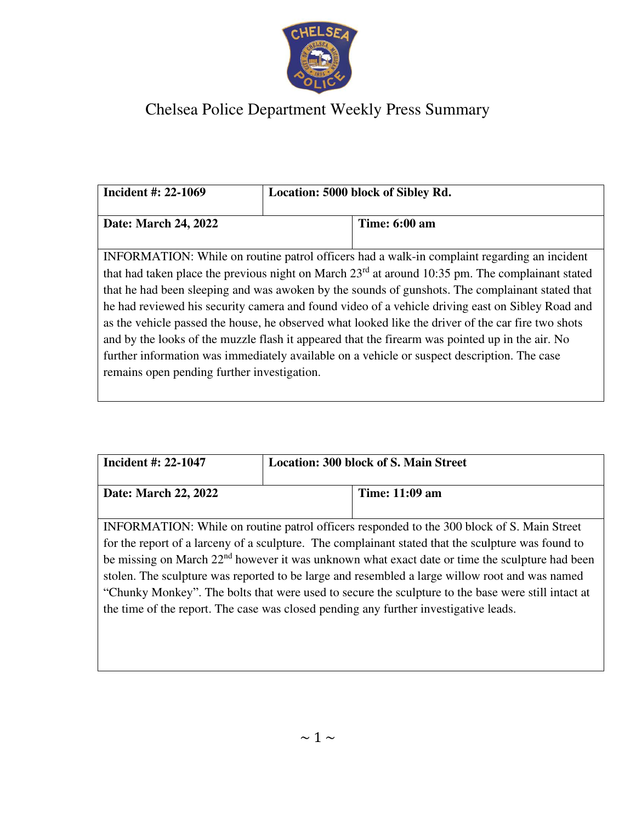

## Chelsea Police Department Weekly Press Summary

| Incident #: 22-1069                                                                                                                                                                                                                                                                                                                                                                                                                                                                                                                                                                                                                                                                                                                                             | Location: 5000 block of Sibley Rd. |  |
|-----------------------------------------------------------------------------------------------------------------------------------------------------------------------------------------------------------------------------------------------------------------------------------------------------------------------------------------------------------------------------------------------------------------------------------------------------------------------------------------------------------------------------------------------------------------------------------------------------------------------------------------------------------------------------------------------------------------------------------------------------------------|------------------------------------|--|
| Date: March 24, 2022                                                                                                                                                                                                                                                                                                                                                                                                                                                                                                                                                                                                                                                                                                                                            | <b>Time: 6:00 am</b>               |  |
| INFORMATION: While on routine patrol officers had a walk-in complaint regarding an incident<br>that had taken place the previous night on March $23rd$ at around 10:35 pm. The complainant stated<br>that he had been sleeping and was awoken by the sounds of gunshots. The complainant stated that<br>he had reviewed his security camera and found video of a vehicle driving east on Sibley Road and<br>as the vehicle passed the house, he observed what looked like the driver of the car fire two shots<br>and by the looks of the muzzle flash it appeared that the firearm was pointed up in the air. No<br>further information was immediately available on a vehicle or suspect description. The case<br>remains open pending further investigation. |                                    |  |

| Incident #: 22-1047                                                                                                                                                                                                                                                                                                                                                                                                                                                                                                                                                                                            | <b>Location: 300 block of S. Main Street</b> |  |  |
|----------------------------------------------------------------------------------------------------------------------------------------------------------------------------------------------------------------------------------------------------------------------------------------------------------------------------------------------------------------------------------------------------------------------------------------------------------------------------------------------------------------------------------------------------------------------------------------------------------------|----------------------------------------------|--|--|
| Date: March 22, 2022                                                                                                                                                                                                                                                                                                                                                                                                                                                                                                                                                                                           | Time: 11:09 am                               |  |  |
| INFORMATION: While on routine patrol officers responded to the 300 block of S. Main Street<br>for the report of a larceny of a sculpture. The complainant stated that the sculpture was found to<br>be missing on March 22 <sup>nd</sup> however it was unknown what exact date or time the sculpture had been<br>stolen. The sculpture was reported to be large and resembled a large willow root and was named<br>"Chunky Monkey". The bolts that were used to secure the sculpture to the base were still intact at<br>the time of the report. The case was closed pending any further investigative leads. |                                              |  |  |